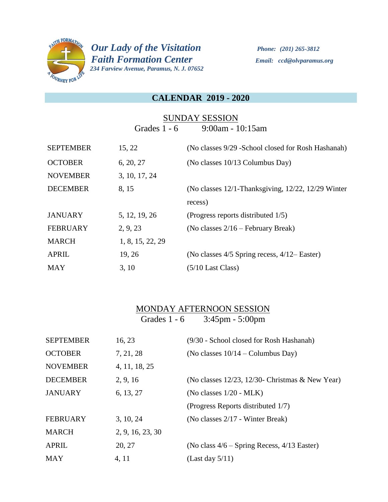

 *Our Lady of the Visitation Phone: (201) 265-3812 Faith Formation Center Email: ccd@olvparamus.org 234 Farview Avenue, Paramus, N. J. 07652* 

### **CALENDAR 2019 - 2020**

## SUNDAY SESSION Grades 1 - 6 9:00am - 10:15am

| <b>SEPTEMBER</b> | 15, 22           | (No classes 9/29 - School closed for Rosh Hashanah) |
|------------------|------------------|-----------------------------------------------------|
| <b>OCTOBER</b>   | 6, 20, 27        | (No classes 10/13 Columbus Day)                     |
| <b>NOVEMBER</b>  | 3, 10, 17, 24    |                                                     |
| <b>DECEMBER</b>  | 8, 15            | (No classes 12/1-Thanksgiving, 12/22, 12/29 Winter) |
|                  |                  | recess)                                             |
| <b>JANUARY</b>   | 5, 12, 19, 26    | (Progress reports distributed 1/5)                  |
| <b>FEBRUARY</b>  | 2, 9, 23         | (No classes $2/16$ – February Break)                |
| <b>MARCH</b>     | 1, 8, 15, 22, 29 |                                                     |
| <b>APRIL</b>     | 19, 26           | (No classes $4/5$ Spring recess, $4/12$ – Easter)   |
| <b>MAY</b>       | 3, 10            | $(5/10$ Last Class)                                 |

# MONDAY AFTERNOON SESSION Grades 1 - 6 3:45pm - 5:00pm

| <b>SEPTEMBER</b> | 16, 23           | (9/30 - School closed for Rosh Hashanah)              |
|------------------|------------------|-------------------------------------------------------|
| <b>OCTOBER</b>   | 7, 21, 28        | (No classes $10/14$ – Columbus Day)                   |
| <b>NOVEMBER</b>  | 4, 11, 18, 25    |                                                       |
| <b>DECEMBER</b>  | 2, 9, 16         | (No classes $12/23$ , $12/30$ - Christmas & New Year) |
| <b>JANUARY</b>   | 6, 13, 27        | (No classes $1/20$ - MLK)                             |
|                  |                  | (Progress Reports distributed 1/7)                    |
| <b>FEBRUARY</b>  | 3, 10, 24        | (No classes 2/17 - Winter Break)                      |
| <b>MARCH</b>     | 2, 9, 16, 23, 30 |                                                       |
| <b>APRIL</b>     | 20, 27           | (No class $4/6$ – Spring Recess, $4/13$ Easter)       |
| <b>MAY</b>       | 4, 11            | (Last day $5/11$ )                                    |